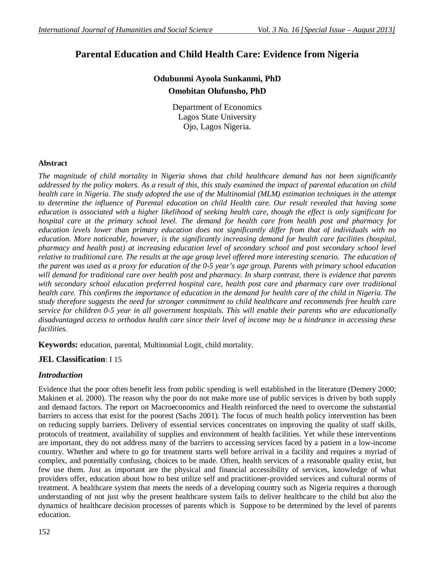# **Parental Education and Child Health Care: Evidence from Nigeria**

## **Odubunmi Ayoola Sunkanmi, PhD Omobitan Olufunsho, PhD**

Department of Economics Lagos State University Ojo, Lagos Nigeria.

#### **Abstract**

*The magnitude of child mortality in Nigeria shows that child healthcare demand has not been significantly addressed by the policy makers. As a result of this, this study examined the impact of parental education on child health care in Nigeria. The study adopted the use of the Multinomial (MLM) estimation techniques in the attempt to determine the influence of Parental education on child Health care. Our result revealed that having some education is associated with a higher likelihood of seeking health care, though the effect is only significant for hospital care at the primary school level. The demand for health care from health post and pharmacy for education levels lower than primary education does not significantly differ from that of individuals with no education. More noticeable, however, is the significantly increasing demand for health care facilities (hospital, pharmacy and health post) at increasing education level of secondary school and post secondary school level relative to traditional care. The results at the age group level offered more interesting scenario. The education of the parent was used as a proxy for education of the 0-5 year's age group. Parents with primary school education will demand for traditional care over health post and pharmacy. In sharp contrast, there is evidence that parents*  with secondary school education preferred hospital care, health post care and pharmacy care over traditional *health care. This confirms the importance of education in the demand for health care of the child in Nigeria. The study therefore suggests the need for stronger commitment to child healthcare and recommends free health care service for children 0-5 year in all government hospitals. This will enable their parents who are educationally disadvantaged access to orthodox health care since their level of income may be a hindrance in accessing these facilities.*

**Keywords:** education, parental, Multinomial Logit, child mortality.

## **JEL Classification**: I 15

## *Introduction*

Evidence that the poor often benefit less from public spending is well established in the literature (Demery 2000; Makinen et al. 2000). The reason why the poor do not make more use of public services is driven by both supply and demand factors. The report on Macroeconomics and Health reinforced the need to overcome the substantial barriers to access that exist for the poorest (Sachs 2001). The focus of much health policy intervention has been on reducing supply barriers. Delivery of essential services concentrates on improving the quality of staff skills, protocols of treatment, availability of supplies and environment of health facilities. Yet while these interventions are important, they do not address many of the barriers to accessing services faced by a patient in a low-income country. Whether and where to go for treatment starts well before arrival in a facility and requires a myriad of complex, and potentially confusing, choices to be made. Often, health services of a reasonable quality exist, but few use them. Just as important are the physical and financial accessibility of services, knowledge of what providers offer, education about how to best utilize self and practitioner-provided services and cultural norms of treatment. A healthcare system that meets the needs of a developing country such as Nigeria requires a thorough understanding of not just why the present healthcare system fails to deliver healthcare to the child but also the dynamics of healthcare decision processes of parents which is Suppose to be determined by the level of parents education.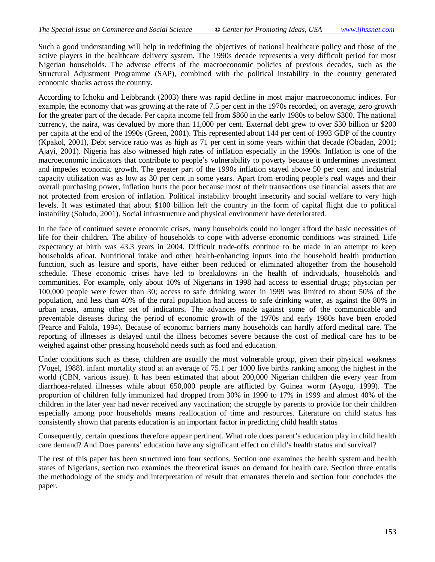Such a good understanding will help in redefining the objectives of national healthcare policy and those of the active players in the healthcare delivery system. The 1990s decade represents a very difficult period for most Nigerian households. The adverse effects of the macroeconomic policies of previous decades, such as the Structural Adjustment Programme (SAP), combined with the political instability in the country generated economic shocks across the country.

According to Ichoku and Leibbrandt (2003) there was rapid decline in most major macroeconomic indices. For example, the economy that was growing at the rate of 7.5 per cent in the 1970s recorded, on average, zero growth for the greater part of the decade. Per capita income fell from \$860 in the early 1980s to below \$300. The national currency, the naira, was devalued by more than 11,000 per cent. External debt grew to over \$30 billion or \$200 per capita at the end of the 1990s (Green, 2001). This represented about 144 per cent of 1993 GDP of the country (Kpakol, 2001), Debt service ratio was as high as 71 per cent in some years within that decade (Obadan, 2001; Ajayi, 2001). Nigeria has also witnessed high rates of inflation especially in the 1990s. Inflation is one of the macroeconomic indicators that contribute to people's vulnerability to poverty because it undermines investment and impedes economic growth. The greater part of the 1990s inflation stayed above 50 per cent and industrial capacity utilization was as low as 30 per cent in some years. Apart from eroding people's real wages and their overall purchasing power, inflation hurts the poor because most of their transactions use financial assets that are not protected from erosion of inflation. Political instability brought insecurity and social welfare to very high levels. It was estimated that about \$100 billion left the country in the form of capital flight due to political instability (Soludo, 2001). Social infrastructure and physical environment have deteriorated.

In the face of continued severe economic crises, many households could no longer afford the basic necessities of life for their children. The ability of households to cope with adverse economic conditions was strained. Life expectancy at birth was 43.3 years in 2004. Difficult trade-offs continue to be made in an attempt to keep households afloat. Nutritional intake and other health-enhancing inputs into the household health production function, such as leisure and sports, have either been reduced or eliminated altogether from the household schedule. These economic crises have led to breakdowns in the health of individuals, households and communities. For example, only about 10% of Nigerians in 1998 had access to essential drugs; physician per 100,000 people were fewer than 30; access to safe drinking water in 1999 was limited to about 50% of the population, and less than 40% of the rural population had access to safe drinking water, as against the 80% in urban areas, among other set of indicators. The advances made against some of the communicable and preventable diseases during the period of economic growth of the 1970s and early 1980s have been eroded (Pearce and Falola, 1994). Because of economic barriers many households can hardly afford medical care. The reporting of illnesses is delayed until the illness becomes severe because the cost of medical care has to be weighed against other pressing household needs such as food and education.

Under conditions such as these, children are usually the most vulnerable group, given their physical weakness (Vogel, 1988). infant mortality stood at an average of 75.1 per 1000 live births ranking among the highest in the world (CBN, various issue). It has been estimated that about 200,000 Nigerian children die every year from diarrhoea-related illnesses while about 650,000 people are afflicted by Guinea worm (Ayogu, 1999). The proportion of children fully immunized had dropped from 30% in 1990 to 17% in 1999 and almost 40% of the children in the later year had never received any vaccination; the struggle by parents to provide for their children especially among poor households means reallocation of time and resources. Literature on child status has consistently shown that parents education is an important factor in predicting child health status

Consequently, certain questions therefore appear pertinent. What role does parent's education play in child health care demand? And Does parents' education have any significant effect on child's health status and survival?

The rest of this paper has been structured into four sections. Section one examines the health system and health states of Nigerians, section two examines the theoretical issues on demand for health care. Section three entails the methodology of the study and interpretation of result that emanates therein and section four concludes the paper.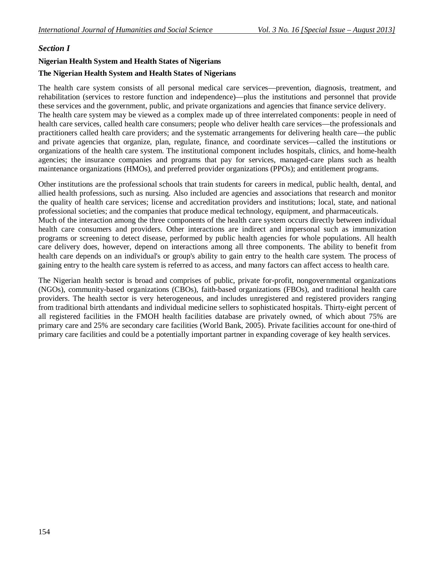## *Section I*

#### **Nigerian Health System and Health States of Nigerians**

#### **The Nigerian Health System and Health States of Nigerians**

The health care system consists of all personal medical care services—prevention, diagnosis, treatment, and rehabilitation (services to restore function and independence)—plus the institutions and personnel that provide these services and the government, public, and private organizations and agencies that finance service delivery. The health care system may be viewed as a complex made up of three interrelated components: people in need of health care services, called health care consumers; people who deliver health care services—the professionals and practitioners called health care providers; and the systematic arrangements for delivering health care—the public and private agencies that organize, plan, regulate, finance, and coordinate services—called the institutions or organizations of the health care system. The institutional component includes hospitals, clinics, and home-health agencies; the insurance companies and programs that pay for services, managed-care plans such as health maintenance organizations (HMOs), and preferred provider organizations (PPOs); and entitlement programs.

Other institutions are the professional schools that train students for careers in medical, public health, dental, and allied health professions, such as nursing. Also included are agencies and associations that research and monitor the quality of health care services; license and accreditation providers and institutions; local, state, and national professional societies; and the companies that produce medical technology, equipment, and pharmaceuticals. Much of the interaction among the three components of the health care system occurs directly between individual health care consumers and providers. Other interactions are indirect and impersonal such as immunization programs or screening to detect disease, performed by public health agencies for whole populations. All health care delivery does, however, depend on interactions among all three components. The ability to benefit from health care depends on an individual's or group's ability to gain entry to the health care system. The process of gaining entry to the health care system is referred to as access, and many factors can affect access to health care.

The Nigerian health sector is broad and comprises of public, private for-profit, nongovernmental organizations (NGOs), community-based organizations (CBOs), faith-based organizations (FBOs), and traditional health care providers. The health sector is very heterogeneous, and includes unregistered and registered providers ranging from traditional birth attendants and individual medicine sellers to sophisticated hospitals. Thirty-eight percent of all registered facilities in the FMOH health facilities database are privately owned, of which about 75% are primary care and 25% are secondary care facilities (World Bank, 2005). Private facilities account for one-third of primary care facilities and could be a potentially important partner in expanding coverage of key health services.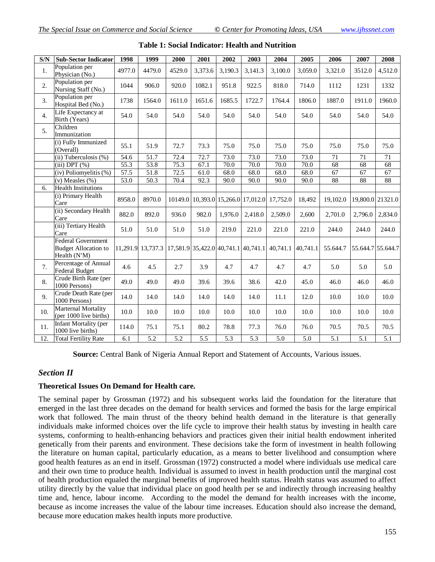| $\overline{\text{S/N}}$ | <b>Sub-Sector Indicator</b>                                              | 1998   | 1999                                                  | 2000   | 2001    | 2002    | 2003    | 2004                                        | 2005             | 2006            | 2007              | 2008             |
|-------------------------|--------------------------------------------------------------------------|--------|-------------------------------------------------------|--------|---------|---------|---------|---------------------------------------------|------------------|-----------------|-------------------|------------------|
| 1.                      | Population per<br>Physician (No.)                                        | 4977.0 | 4479.0                                                | 4529.0 | 3,373.6 | 3,190.3 | 3,141.3 | 3,100.0                                     | 3,059.0          | 3,321.0         | 3512.0            | 4,512.0          |
| 2.                      | Population per<br>Nursing Staff (No.)                                    | 1044   | 906.0                                                 | 920.0  | 1082.1  | 951.8   | 922.5   | 818.0                                       | 714.0            | 1112            | 1231              | 1332             |
| 3.                      | Population per<br>Hospital Bed (No.)                                     | 1738   | 1564.0                                                | 1611.0 | 1651.6  | 1685.5  | 1722.7  | 1764.4                                      | 1806.0           | 1887.0          | 1911.0            | 1960.0           |
| 4.                      | Life Expectancy at<br>Birth (Years)                                      | 54.0   | 54.0                                                  | 54.0   | 54.0    | 54.0    | 54.0    | 54.0                                        | 54.0             | 54.0            | 54.0              | 54.0             |
| 5.                      | Children<br>Immunization                                                 |        |                                                       |        |         |         |         |                                             |                  |                 |                   |                  |
|                         | (i) Fully Immunized<br>(Overall)                                         | 55.1   | 51.9                                                  | 72.7   | 73.3    | 75.0    | 75.0    | 75.0                                        | 75.0             | 75.0            | 75.0              | 75.0             |
|                         | $(ii)$ Tuberculosis $(\%)$                                               | 54.6   | $\overline{51.7}$                                     | 72.4   | 72.7    | 73.0    | 73.0    | 73.0                                        | 73.0             | 71              | 71                | 71               |
|                         | $(iii)$ DPT $(\%)$                                                       | 55.3   | 53.8                                                  | 75.3   | 67.1    | 70.0    | 70.0    | 70.0                                        | 70.0             | $\overline{68}$ | 68                | 68               |
|                         | (iv) Poliomyelitis (%)                                                   | 57.5   | 51.8                                                  | 72.5   | 61.0    | 68.0    | 68.0    | 68.0                                        | 68.0             | 67              | 67                | 67               |
|                         | $(v)$ Measles $(\%)$                                                     | 53.0   | 50.3                                                  | 70.4   | 92.3    | 90.0    | 90.0    | 90.0                                        | 90.0             | 88              | 88                | 88               |
| 6.                      | <b>Health Institutions</b>                                               |        |                                                       |        |         |         |         |                                             |                  |                 |                   |                  |
|                         | (i) Primary Health<br>Care                                               | 8958.0 | 8970.0                                                |        |         |         |         | 10149.0 10,393.0 15,266.0 17,012.0 17,752.0 | 18,492           | 19,102.0        |                   | 19,800.0 21321.0 |
|                         | (ii) Secondary Health<br>Care                                            | 882.0  | 892.0                                                 | 936.0  | 982.0   | 1,976.0 | 2,418.0 | 2,509.0                                     | 2,600            | 2,701.0         | 2,796.0           | 2,834.0          |
|                         | (iii) Tertiary Health<br>Care                                            | 51.0   | 51.0                                                  | 51.0   | 51.0    | 219.0   | 221.0   | 221.0                                       | 221.0            | 244.0           | 244.0             | 244.0            |
|                         | <b>Federal Government</b><br><b>Budget Allocation to</b><br>Health (N'M) |        | 11,291.9 13,737.3 17,581.9 35,422.0 40,741.1 40,741.1 |        |         |         |         | 40,741.1 40,741.1                           |                  | 55.644.7        | 55.644.7 55.644.7 |                  |
| 7.                      | Percentage of Annual<br>Federal Budget                                   | 4.6    | 4.5                                                   | 2.7    | 3.9     | 4.7     | 4.7     | 4.7                                         | 4.7              | 5.0             | 5.0               | 5.0              |
| 8.                      | Crude Birth Rate (per<br>1000 Persons)                                   | 49.0   | 49.0                                                  | 49.0   | 39.6    | 39.6    | 38.6    | 42.0                                        | 45.0             | 46.0            | 46.0              | 46.0             |
| 9.                      | Crude Death Rate (per<br>1000 Persons)                                   | 14.0   | 14.0                                                  | 14.0   | 14.0    | 14.0    | 14.0    | 11.1                                        | 12.0             | 10.0            | 10.0              | 10.0             |
| 10.                     | Marternal Mortality<br>(per 1000 live births)                            | 10.0   | 10.0                                                  | 10.0   | 10.0    | 10.0    | 10.0    | 10.0                                        | 10.0             | 10.0            | 10.0              | 10.0             |
| 11.                     | Infant Mortality (per<br>1000 live births)                               | 114.0  | 75.1                                                  | 75.1   | 80.2    | 78.8    | 77.3    | 76.0                                        | 76.0             | 70.5            | 70.5              | 70.5             |
| 12.                     | <b>Total Fertility Rate</b>                                              | 6.1    | 5.2                                                   | 5.2    | 5.5     | 5.3     | 5.3     | 5.0                                         | $\overline{5.0}$ | 5.1             | 5.1               | 5.1              |

**Table 1: Social Indicator: Health and Nutrition**

**Source:** Central Bank of Nigeria Annual Report and Statement of Accounts, Various issues.

## *Section II*

## **Theoretical Issues On Demand for Health care.**

The seminal paper by Grossman (1972) and his subsequent works laid the foundation for the literature that emerged in the last three decades on the demand for health services and formed the basis for the large empirical work that followed. The main thrust of the theory behind health demand in the literature is that generally individuals make informed choices over the life cycle to improve their health status by investing in health care systems, conforming to health-enhancing behaviors and practices given their initial health endowment inherited genetically from their parents and environment. These decisions take the form of investment in health following the literature on human capital, particularly education, as a means to better livelihood and consumption where good health features as an end in itself. Grossman (1972) constructed a model where individuals use medical care and their own time to produce health. Individual is assumed to invest in health production until the marginal cost of health production equaled the marginal benefits of improved health status. Health status was assumed to affect utility directly by the value that individual place on good health per se and indirectly through increasing healthy time and, hence, labour income. According to the model the demand for health increases with the income, because as income increases the value of the labour time increases. Education should also increase the demand, because more education makes health inputs more productive.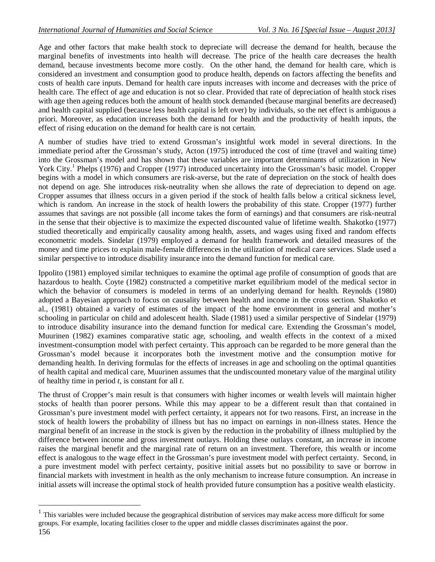Age and other factors that make health stock to depreciate will decrease the demand for health, because the marginal benefits of investments into health will decrease. The price of the health care decreases the health demand, because investments become more costly. On the other hand, the demand for health care, which is considered an investment and consumption good to produce health, depends on factors affecting the benefits and costs of health care inputs. Demand for health care inputs increases with income and decreases with the price of health care. The effect of age and education is not so clear. Provided that rate of depreciation of health stock rises with age then ageing reduces both the amount of health stock demanded (because marginal benefits are decreased) and health capital supplied (because less health capital is left over) by individuals, so the net effect is ambiguous a priori. Moreover, as education increases both the demand for health and the productivity of health inputs, the effect of rising education on the demand for health care is not certain.

A number of studies have tried to extend Grossman's insightful work model in several directions. In the immediate period after the Grossman's study, Acton (1975) introduced the cost of time (travel and waiting time) into the Grossman's model and has shown that these variables are important determinants of utilization in New York City.<sup>1</sup> Phelps (1976) and Cropper (1977) introduced uncertainty into the Grossman's basic model. Cropper begins with a model in which consumers are risk-averse, but the rate of depreciation on the stock of health does not depend on age. She introduces risk-neutrality when she allows the rate of depreciation to depend on age. Cropper assumes that illness occurs in a given period if the stock of health falls below a critical sickness level, which is random. An increase in the stock of health lowers the probability of this state. Cropper (1977) further assumes that savings are not possible (all income takes the form of earnings) and that consumers are risk-neutral in the sense that their objective is to maximize the expected discounted value of lifetime wealth. Shakotko (1977) studied theoretically and empirically causality among health, assets, and wages using fixed and random effects econometric models. Sindelar (1979) employed a demand for health framework and detailed measures of the money and time prices to explain male-female differences in the utilization of medical care services. Slade used a similar perspective to introduce disability insurance into the demand function for medical care.

Ippolito (1981) employed similar techniques to examine the optimal age profile of consumption of goods that are hazardous to health. Coyte (1982) constructed a competitive market equilibrium model of the medical sector in which the behavior of consumers is modeled in terms of an underlying demand for health. Reynolds (1980) adopted a Bayesian approach to focus on causality between health and income in the cross section. Shakotko et al., (1981) obtained a variety of estimates of the impact of the home environment in general and mother's schooling in particular on child and adolescent health. Slade (1981) used a similar perspective of Sindelar (1979) to introduce disability insurance into the demand function for medical care. Extending the Grossman's model, Muurinen (1982) examines comparative static age, schooling, and wealth effects in the context of a mixed investment-consumption model with perfect certainty. This approach can be regarded to be more general than the Grossman's model because it incorporates both the investment motive and the consumption motive for demanding health. In deriving formulas for the effects of increases in age and schooling on the optimal quantities of health capital and medical care, Muurinen assumes that the undiscounted monetary value of the marginal utility of healthy time in period *t*, is constant for all *t*.

The thrust of Cropper's main result is that consumers with higher incomes or wealth levels will maintain higher stocks of health than poorer persons. While this may appear to be a different result than that contained in Grossman's pure investment model with perfect certainty, it appears not for two reasons. First, an increase in the stock of health lowers the probability of illness but has no impact on earnings in non-illness states. Hence the marginal benefit of an increase in the stock is given by the reduction in the probability of illness multiplied by the difference between income and gross investment outlays. Holding these outlays constant, an increase in income raises the marginal benefit and the marginal rate of return on an investment. Therefore, this wealth or income effect is analogous to the wage effect in the Grossman's pure investment model with perfect certainty. Second, in a pure investment model with perfect certainty, positive initial assets but no possibility to save or borrow in financial markets with investment in health as the only mechanism to increase future consumption. An increase in initial assets will increase the optimal stock of health provided future consumption has a positive wealth elasticity.

<sup>156</sup> 1 This variables were included because the geographical distribution of services may make access more difficult for some groups. For example, locating facilities closer to the upper and middle classes discriminates against the poor.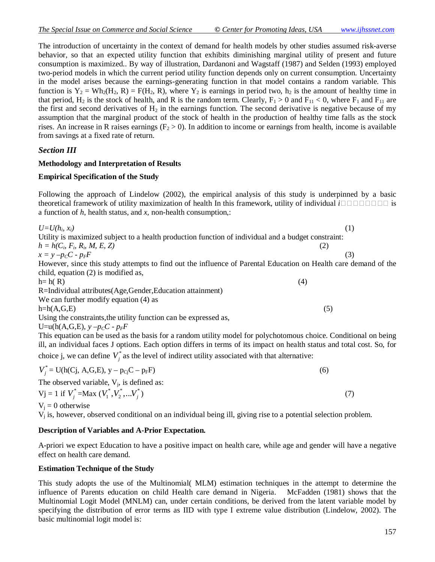The introduction of uncertainty in the context of demand for health models by other studies assumed risk-averse behavior, so that an expected utility function that exhibits diminishing marginal utility of present and future consumption is maximized.. By way of illustration, Dardanoni and Wagstaff (1987) and Selden (1993) employed two-period models in which the current period utility function depends only on current consumption. Uncertainty in the model arises because the earnings-generating function in that model contains a random variable. This function is  $Y_2 = Wh_2(H_2, R) = F(H_2, R)$ , where  $Y_2$  is earnings in period two,  $h_2$  is the amount of healthy time in that period,  $H_2$  is the stock of health, and R is the random term. Clearly,  $F_1 > 0$  and  $F_{11} < 0$ , where  $F_1$  and  $F_{11}$  are the first and second derivatives of  $H_2$  in the earnings function. The second derivative is negative because of my assumption that the marginal product of the stock of health in the production of healthy time falls as the stock rises. An increase in R raises earnings  $(F_2 > 0)$ . In addition to income or earnings from health, income is available from savings at a fixed rate of return.

#### *Section III*

#### **Methodology and Interpretation of Results**

#### **Empirical Specification of the Study**

Following the approach of Lindelow (2002), the empirical analysis of this study is underpinned by a basic theoretical framework of utility maximization of health In this framework, utility of individual  $i \square \square \square \square \square \square$  is a function of *h*, health status, and *x,* non-health consumption,:

 $U=U(h_i, x_i)$ *(1)*  $(x_i)$ Utility is maximized subject to a health production function of individual and a budget constraint:  $h = h(C_i, F_i, R_i, M, E, Z)$  (2)  $x = y - p_C C - p_F F$  (3) However, since this study attempts to find out the influence of Parental Education on Health care demand of the child, equation (2) is modified as,  $h=h(R)$  (4) R=Individual attributes(Age,Gender,Education attainment) We can further modify equation (4) as  $h=h(A,G,E)$  (5) Using the constraints,the utility function can be expressed as, U=u(h(A,G,E),  $y - p_C C - p_F F$ This equation can be used as the basis for a random utility model for polychotomous choice. Conditional on being ill, an individual faces J options. Each option differs in terms of its impact on health status and total cost. So, for choice j, we can define  $V_j^*$  as the level of indirect utility associated with that alternative:

$$
V_j^* = U(h(Cj, A, G, E), y - p_{Cj}C - p_F F)
$$
  
The observed variable, V<sub>j</sub>, is defined as:  

$$
V_j = 1 \text{ if } V_j^* = \text{Max } (V_1^*, V_2^*, \dots V_j^*)
$$
 (7)

 $V_i = 0$  otherwise

V<sup>j</sup> is, however, observed conditional on an individual being ill, giving rise to a potential selection problem.

#### **Description of Variables and A-Prior Expectation.**

A-priori we expect Education to have a positive impact on health care, while age and gender will have a negative effect on health care demand.

#### **Estimation Technique of the Study**

This study adopts the use of the Multinomial( MLM) estimation techniques in the attempt to determine the influence of Parents education on child Health care demand in Nigeria. McFadden (1981) shows that the Multinomial Logit Model (MNLM) can, under certain conditions, be derived from the latent variable model by specifying the distribution of error terms as IID with type I extreme value distribution (Lindelow, 2002). The basic multinomial logit model is: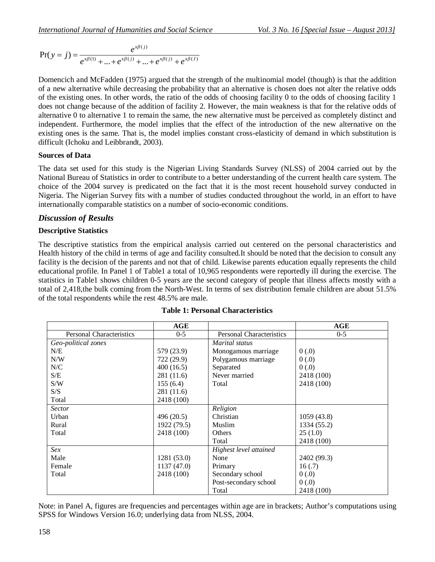$$
Pr(y = j) = \frac{e^{x\beta(j)}}{e^{x\beta(1)} + ... + e^{x\beta(j)} + ... + e^{x\beta(j)} + e^{x\beta(j)}}
$$

Domencich and McFadden (1975) argued that the strength of the multinomial model (though) is that the addition of a new alternative while decreasing the probability that an alternative is chosen does not alter the relative odds of the existing ones. In other words, the ratio of the odds of choosing facility 0 to the odds of choosing facility 1 does not change because of the addition of facility 2. However, the main weakness is that for the relative odds of alternative 0 to alternative 1 to remain the same, the new alternative must be perceived as completely distinct and independent. Furthermore, the model implies that the effect of the introduction of the new alternative on the existing ones is the same. That is, the model implies constant cross-elasticity of demand in which substitution is difficult (Ichoku and Leibbrandt, 2003).

## **Sources of Data**

The data set used for this study is the Nigerian Living Standards Survey (NLSS) of 2004 carried out by the National Bureau of Statistics in order to contribute to a better understanding of the current health care system. The choice of the 2004 survey is predicated on the fact that it is the most recent household survey conducted in Nigeria. The Nigerian Survey fits with a number of studies conducted throughout the world, in an effort to have internationally comparable statistics on a number of socio-economic conditions.

## *Discussion of Results*

## **Descriptive Statistics**

The descriptive statistics from the empirical analysis carried out centered on the personal characteristics and Health history of the child in terms of age and facility consulted.It should be noted that the decision to consult any facility is the decision of the parents and not that of child. Likewise parents education equally represents the child educational profile. In Panel 1 of Table1 a total of 10,965 respondents were reportedly ill during the exercise. The statistics in Table1 shows children 0-5 years are the second category of people that illness affects mostly with a total of 2,418,the bulk coming from the North-West. In terms of sex distribution female children are about 51.5% of the total respondents while the rest 48.5% are male.

|                                 | AGE         |                                 | <b>AGE</b>  |  |
|---------------------------------|-------------|---------------------------------|-------------|--|
| <b>Personal Characteristics</b> | $0 - 5$     | <b>Personal Characteristics</b> | $0 - 5$     |  |
| Geo-political zones             |             | Marital status                  |             |  |
| N/E                             | 579 (23.9)  | Monogamous marriage             | 0(.0)       |  |
| N/W                             | 722 (29.9)  | Polygamous marriage             | 0(0.0)      |  |
| ${\rm N\hspace{-1pt}}/C$        | 400(16.5)   | Separated                       | 0(0.0)      |  |
| S/E                             | 281 (11.6)  | Never married                   | 2418 (100)  |  |
| S/W                             | 155(6.4)    | Total                           | 2418 (100)  |  |
| S/S                             | 281 (11.6)  |                                 |             |  |
| Total                           | 2418 (100)  |                                 |             |  |
| <b>Sector</b>                   |             | Religion                        |             |  |
| Urban                           | 496 (20.5)  | Christian                       | 1059(43.8)  |  |
| Rural                           | 1922 (79.5) | Muslim                          | 1334 (55.2) |  |
| Total                           | 2418 (100)  | Others                          | 25(1.0)     |  |
|                                 |             | Total                           | 2418 (100)  |  |
| Sex                             |             | Highest level attained          |             |  |
| Male                            | 1281 (53.0) | None                            | 2402 (99.3) |  |
| Female                          | 1137 (47.0) | Primary                         | 16(.7)      |  |
| Total                           | 2418 (100)  | Secondary school                | 0(.0)       |  |
|                                 |             | Post-secondary school           | 0(0.0)      |  |
|                                 |             | Total                           | 2418 (100)  |  |

#### **Table 1: Personal Characteristics**

Note: in Panel A, figures are frequencies and percentages within age are in brackets; Author's computations using SPSS for Windows Version 16.0; underlying data from NLSS, 2004.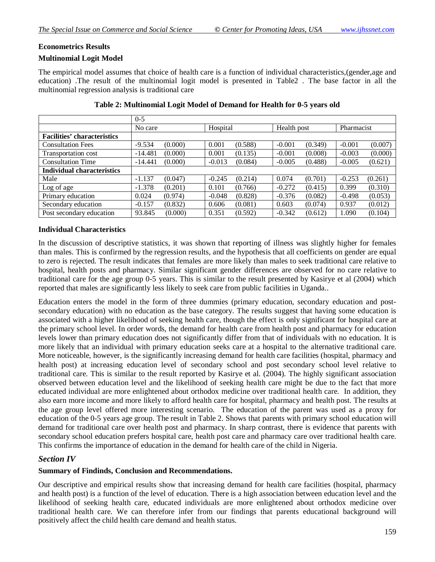## **Econometrics Results**

## **Multinomial Logit Model**

The empirical model assumes that choice of health care is a function of individual characteristics,(gender,age and education) .The result of the multinomial logit model is presented in Table2 . The base factor in all the multinomial regression analysis is traditional care

|                                    | $0 - 5$   |          |             |            |
|------------------------------------|-----------|----------|-------------|------------|
|                                    | No care   | Hospital | Health post | Pharmacist |
| <b>Facilities' characteristics</b> |           |          |             |            |
| <b>Consultation Fees</b>           | $-9.534$  | 0.001    | (0.349)     | $-0.001$   |
|                                    | (0.000)   | (0.588)  | $-0.001$    | (0.007)    |
| Transportation cost                | (0.000)   | 0.001    | $-0.001$    | $-0.003$   |
|                                    | $-14.481$ | (0.135)  | (0.008)     | (0.000)    |
| <b>Consultation Time</b>           | (0.000)   | (0.084)  | $-0.005$    | (0.621)    |
|                                    | $-14.441$ | $-0.013$ | (0.488)     | $-0.005$   |
| <b>Individual characteristics</b>  |           |          |             |            |
| Male                               | $-1.137$  | $-0.245$ | 0.074       | $-0.253$   |
|                                    | (0.047)   | (0.214)  | (0.701)     | (0.261)    |
| Log of age                         | $-1.378$  | 0.101    | $-0.272$    | 0.399      |
|                                    | (0.201)   | (0.766)  | (0.415)     | (0.310)    |
| Primary education                  | 0.024     | (0.828)  | $-0.376$    | (0.053)    |
|                                    | (0.974)   | $-0.048$ | (0.082)     | $-0.498$   |
| Secondary education                | $-0.157$  | (0.081)  | 0.603       | 0.937      |
|                                    | (0.832)   | 0.606    | (0.074)     | (0.012)    |
| Post secondary education           | 93.845    | 0.351    | $-0.342$    | (0.104)    |
|                                    | (0.000)   | (0.592)  | (0.612)     | 1.090      |

|  | Table 2: Multinomial Logit Model of Demand for Health for 0-5 years old |
|--|-------------------------------------------------------------------------|
|  |                                                                         |

#### **Individual Characteristics**

In the discussion of descriptive statistics, it was shown that reporting of illness was slightly higher for females than males. This is confirmed by the regression results, and the hypothesis that all coefficients on gender are equal to zero is rejected. The result indicates that females are more likely than males to seek traditional care relative to hospital, health posts and pharmacy. Similar significant gender differences are observed for no care relative to traditional care for the age group 0-5 years. This is similar to the result presented by Kasirye et al (2004) which reported that males are significantly less likely to seek care from public facilities in Uganda..

Education enters the model in the form of three dummies (primary education, secondary education and postsecondary education) with no education as the base category. The results suggest that having some education is associated with a higher likelihood of seeking health care, though the effect is only significant for hospital care at the primary school level. In order words, the demand for health care from health post and pharmacy for education levels lower than primary education does not significantly differ from that of individuals with no education. It is more likely that an individual with primary education seeks care at a hospital to the alternative traditional care. More noticeable, however, is the significantly increasing demand for health care facilities (hospital, pharmacy and health post) at increasing education level of secondary school and post secondary school level relative to traditional care. This is similar to the result reported by Kasirye et al. (2004). The highly significant association observed between education level and the likelihood of seeking health care might be due to the fact that more educated individual are more enlightened about orthodox medicine over traditional health care. In addition, they also earn more income and more likely to afford health care for hospital, pharmacy and health post. The results at the age group level offered more interesting scenario. The education of the parent was used as a proxy for education of the 0-5 years age group. The result in Table 2. Shows that parents with primary school education will demand for traditional care over health post and pharmacy. In sharp contrast, there is evidence that parents with secondary school education prefers hospital care, health post care and pharmacy care over traditional health care. This confirms the importance of education in the demand for health care of the child in Nigeria.

## *Section IV*

## **Summary of Findinds, Conclusion and Recommendations.**

Our descriptive and empirical results show that increasing demand for health care facilities (hospital, pharmacy and health post) is a function of the level of education. There is a high association between education level and the likelihood of seeking health care, educated individuals are more enlightened about orthodox medicine over traditional health care. We can therefore infer from our findings that parents educational background will positively affect the child health care demand and health status.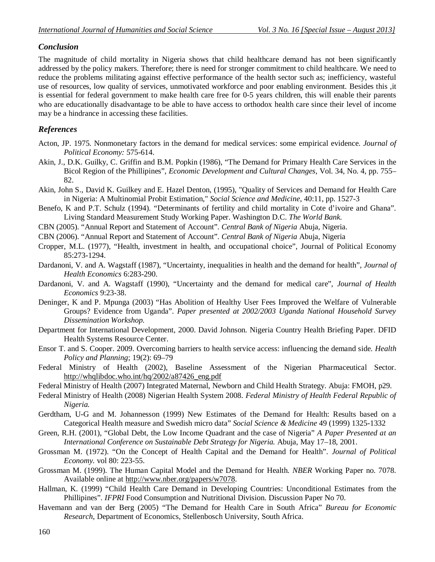## *Conclusion*

The magnitude of child mortality in Nigeria shows that child healthcare demand has not been significantly addressed by the policy makers. Therefore; there is need for stronger commitment to child healthcare. We need to reduce the problems militating against effective performance of the health sector such as; inefficiency, wasteful use of resources, low quality of services, unmotivated workforce and poor enabling environment. Besides this ,it is essential for federal government to make health care free for 0-5 years children, this will enable their parents who are educationally disadvantage to be able to have access to orthodox health care since their level of income may be a hindrance in accessing these facilities.

## *References*

- Acton, JP. 1975. Nonmonetary factors in the demand for medical services: some empirical evidence. *Journal of Political Economy:* 575-614.
- Akin, J., D.K. Guilky, C. Griffin and B.M. Popkin (1986), "The Demand for Primary Health Care Services in the Bicol Region of the Phillipines", *Economic Development and Cultural Changes*, Vol. 34, No. 4, pp. 755– 82.
- Akin, John S., David K. Guilkey and E. Hazel Denton, (1995), "Quality of Services and Demand for Health Care in Nigeria: A Multinomial Probit Estimation," *Social Science and Medicine*, 40:11, pp. 1527-3
- Benefo, K and P.T. Schulz (1994). "Determinants of fertility and child mortality in Cote d'ivoire and Ghana". Living Standard Measurement Study Working Paper. Washington D.C. *The World Bank.*
- CBN (2005). "Annual Report and Statement of Account". *Central Bank of Nigeria* Abuja, Nigeria.
- CBN (2006). "Annual Report and Statement of Account". *Central Bank of Nigeria* Abuja, Nigeria
- Cropper, M.L. (1977), "Health, investment in health, and occupational choice", Journal of Political Economy 85:273-1294.
- Dardanoni, V. and A. Wagstaff (1987), "Uncertainty, inequalities in health and the demand for health", *Journal of Health Economics* 6:283-290.
- Dardanoni, V. and A. Wagstaff (1990), "Uncertainty and the demand for medical care", *Journal of Health Economics* 9:23-38.
- Deninger, K and P. Mpunga (2003) "Has Abolition of Healthy User Fees Improved the Welfare of Vulnerable Groups? Evidence from Uganda". *Paper presented at 2002/2003 Uganda National Household Survey Dissemination Workshop.*
- Department for International Development, 2000. David Johnson. Nigeria Country Health Briefing Paper. DFID Health Systems Resource Center.
- Ensor T. and S. Cooper. 2009. Overcoming barriers to health service access: influencing the demand side. *Health Policy and Planning*; 19(2): 69–79
- Federal Ministry of Health (2002), Baseline Assessment of the Nigerian Pharmaceutical Sector. http://whqlibdoc.who.int/hq/2002/a87426\_eng.pdf
- Federal Ministry of Health (2007) Integrated Maternal, Newborn and Child Health Strategy. Abuja: FMOH, p29.
- Federal Ministry of Health (2008) Nigerian Health System 2008. *Federal Ministry of Health Federal Republic of Nigeria.*
- Gerdtham, U-G and M. Johannesson (1999) New Estimates of the Demand for Health: Results based on a Categorical Health measure and Swedish micro data" *Social Science & Medicine* 49 (1999) 1325-1332
- Green, R.H. (2001), "Global Debt, the Low Income Quadrant and the case of Nigeria" *A Paper Presented at an International Conference on Sustainable Debt Strategy for Nigeria.* Abuja, May 17–18, 2001.
- Grossman M. (1972). "On the Concept of Health Capital and the Demand for Health". *Journal of Political Economy.* vol 80: 223-55.
- Grossman M. (1999). The Human Capital Model and the Demand for Health*. NBER* Working Paper no. 7078. Available online at http://www.nber.org/papers/w7078.
- Hallman, K. (1999) "Child Health Care Demand in Developing Countries: Unconditional Estimates from the Phillipines". *IFPRI* Food Consumption and Nutritional Division. Discussion Paper No 70.
- Havemann and van der Berg (2005) "The Demand for Health Care in South Africa" *Bureau for Economic Research*, Department of Economics, Stellenbosch University, South Africa.